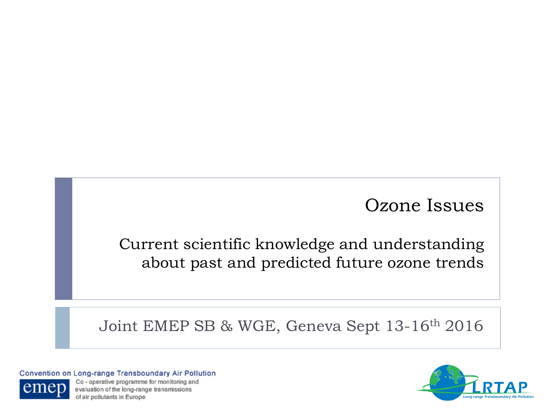### Ozone Issues

### Current scientific knowledge and understanding about past and predicted future ozone trends

Joint EMEP SB & WGE, Geneva Sept 13-16th 2016

Convention on Long-range Transboundary Air Pollution



Co - operative programme for monitoring and evaluation of the long-range transmissions of air pollutants in Europe

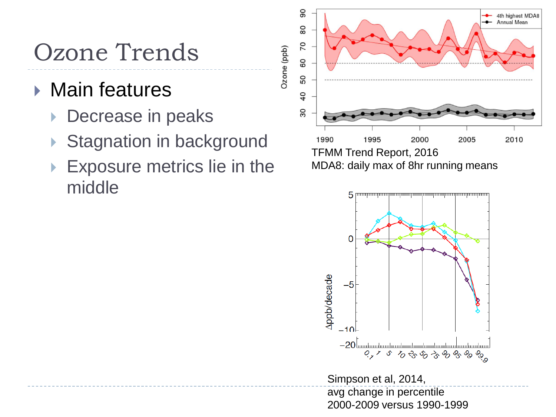## Ozone Trends

### ▶ Main features

- Decrease in peaks
- Stagnation in background
- Exposure metrics lie in the middle



Ozone (ppb)

MDA8: daily max of 8hr running means



Simpson et al, 2014, avg change in percentile 2000-2009 versus 1990-1999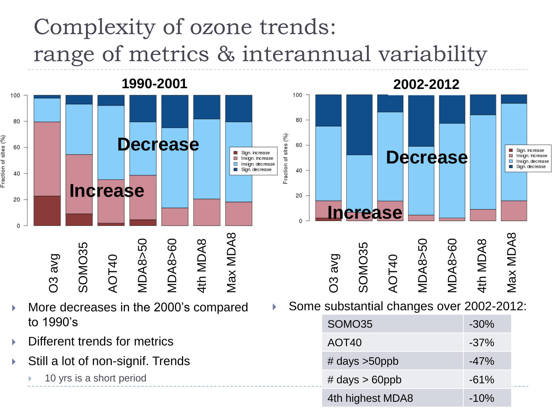## Complexity of ozone trends: range of metrics & interannual variability



- More decreases in the 2000's compared to 1990's
- Different trends for metrics
- Still a lot of non-signif. Trends
	- 10 yrs is a short period

Some substantial changes over 2002-2012:

| SOMO35            | $-30\%$ |
|-------------------|---------|
| AOT <sub>40</sub> | $-37%$  |
| # days $>50$ ppb  | $-47%$  |
| # days $> 60$ ppb | $-61%$  |
| 4th highest MDA8  | $-10%$  |

**Decrease**

Max MDA8

Sign. increase

Insign. increase

Insign. decrease

Sign. decrease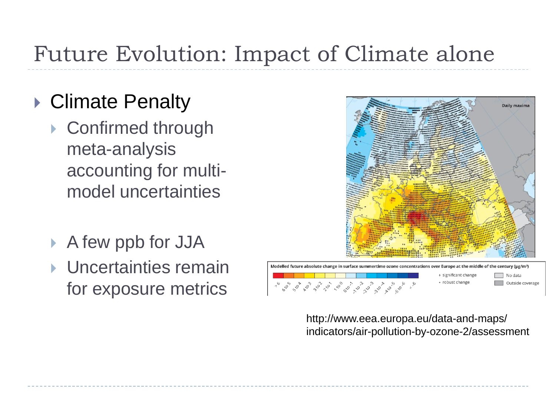## Future Evolution: Impact of Climate alone

### ▶ Climate Penalty

- ▶ Confirmed through meta-analysis accounting for multimodel uncertainties
- A few ppb for JJA
- ▶ Uncertainties remain for exposure metrics



http://www.eea.europa.eu/data-and-maps/ indicators/air-pollution-by-ozone-2/assessment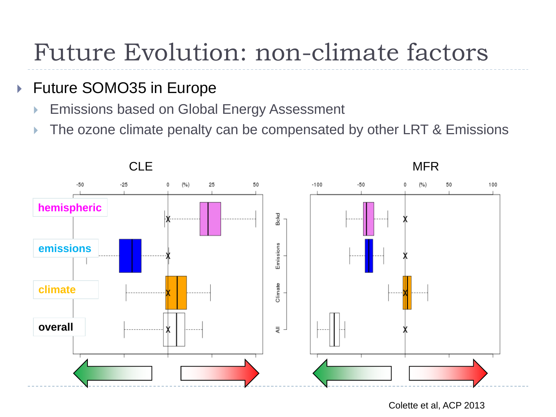## Future Evolution: non-climate factors

#### ▶ Future SOMO35 in Europe

- **Emissions based on Global Energy Assessment**
- $\triangleright$  The ozone climate penalty can be compensated by other LRT & Emissions



Colette et al, ACP 2013